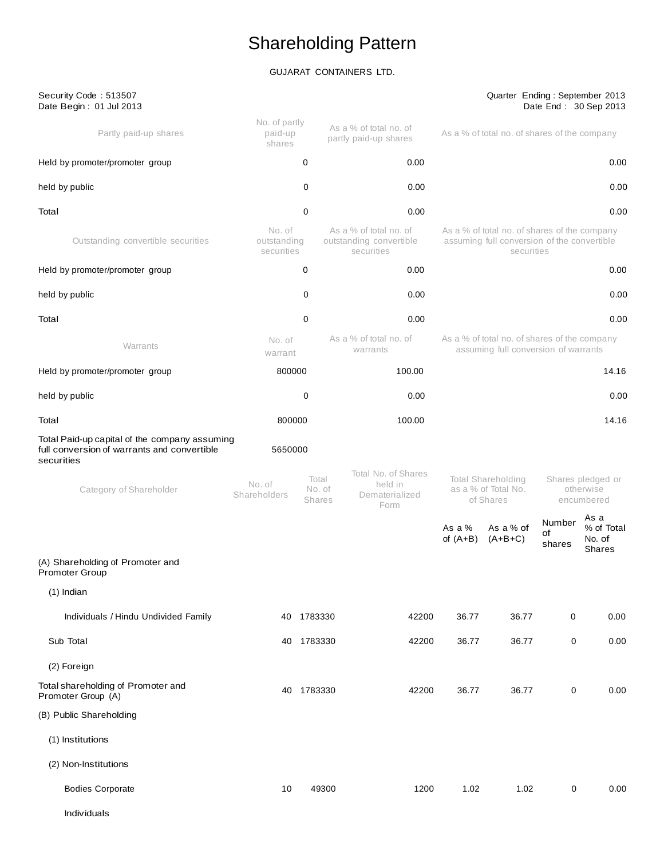# Shareholding Pattern

## GUJARAT CONTAINERS LTD.

| Security Code: 513507<br>Date Begin: 01 Jul 2013                                                           |                                     |                                  |                                                                 |                        | Quarter Ending: September 2013                                                                            |                                              | Date End: 30 Sep 2013                  |
|------------------------------------------------------------------------------------------------------------|-------------------------------------|----------------------------------|-----------------------------------------------------------------|------------------------|-----------------------------------------------------------------------------------------------------------|----------------------------------------------|----------------------------------------|
| Partly paid-up shares                                                                                      | No. of partly<br>paid-up<br>shares  |                                  | As a % of total no. of<br>partly paid-up shares                 |                        | As a % of total no. of shares of the company                                                              |                                              |                                        |
| Held by promoter/promoter group                                                                            |                                     | 0                                | 0.00                                                            |                        |                                                                                                           |                                              | 0.00                                   |
| held by public                                                                                             |                                     | 0                                | 0.00                                                            |                        |                                                                                                           |                                              | 0.00                                   |
| Total                                                                                                      |                                     | 0                                | 0.00                                                            |                        |                                                                                                           |                                              | 0.00                                   |
| Outstanding convertible securities                                                                         | No. of<br>outstanding<br>securities |                                  | As a % of total no. of<br>outstanding convertible<br>securities |                        | As a % of total no. of shares of the company<br>assuming full conversion of the convertible<br>securities |                                              |                                        |
| Held by promoter/promoter group                                                                            |                                     | 0                                | 0.00                                                            |                        |                                                                                                           |                                              | 0.00                                   |
| held by public                                                                                             |                                     | 0                                | 0.00                                                            |                        |                                                                                                           |                                              | 0.00                                   |
| Total                                                                                                      |                                     | 0                                | 0.00                                                            |                        |                                                                                                           |                                              | 0.00                                   |
| Warrants                                                                                                   | No. of<br>warrant                   |                                  | As a % of total no. of<br>warrants                              |                        | As a % of total no. of shares of the company<br>assuming full conversion of warrants                      |                                              |                                        |
| Held by promoter/promoter group                                                                            | 800000                              |                                  | 100.00                                                          | 14.16                  |                                                                                                           |                                              |                                        |
| held by public                                                                                             |                                     | 0                                | 0.00                                                            |                        |                                                                                                           |                                              | 0.00                                   |
| Total                                                                                                      | 800000                              |                                  | 100.00                                                          |                        |                                                                                                           |                                              | 14.16                                  |
| Total Paid-up capital of the company assuming<br>full conversion of warrants and convertible<br>securities | 5650000                             |                                  |                                                                 |                        |                                                                                                           |                                              |                                        |
| Category of Shareholder                                                                                    | No. of<br>Shareholders              | Total<br>No. of<br><b>Shares</b> | Total No. of Shares<br>held in<br>Dematerialized<br>Form        |                        | <b>Total Shareholding</b><br>as a % of Total No.<br>of Shares                                             | Shares pledged or<br>otherwise<br>encumbered |                                        |
|                                                                                                            |                                     |                                  |                                                                 | As a $%$<br>of $(A+B)$ | As a % of<br>$(A+B+C)$                                                                                    | Number<br>of<br>shares                       | As a<br>% of Total<br>No. of<br>Shares |
| (A) Shareholding of Promoter and<br>Promoter Group                                                         |                                     |                                  |                                                                 |                        |                                                                                                           |                                              |                                        |
| $(1)$ Indian                                                                                               |                                     |                                  |                                                                 |                        |                                                                                                           |                                              |                                        |
| Individuals / Hindu Undivided Family                                                                       |                                     | 40 1783330                       | 42200                                                           | 36.77                  | 36.77                                                                                                     | 0                                            | 0.00                                   |
| Sub Total                                                                                                  | 40                                  | 1783330                          | 42200                                                           | 36.77                  | 36.77                                                                                                     | 0                                            | 0.00                                   |
| (2) Foreign                                                                                                |                                     |                                  |                                                                 |                        |                                                                                                           |                                              |                                        |
| Total shareholding of Promoter and<br>Promoter Group (A)                                                   | 40                                  | 1783330                          | 42200                                                           | 36.77                  | 36.77                                                                                                     | 0                                            | 0.00                                   |
| (B) Public Shareholding                                                                                    |                                     |                                  |                                                                 |                        |                                                                                                           |                                              |                                        |
| (1) Institutions                                                                                           |                                     |                                  |                                                                 |                        |                                                                                                           |                                              |                                        |
| (2) Non-Institutions                                                                                       |                                     |                                  |                                                                 |                        |                                                                                                           |                                              |                                        |
| <b>Bodies Corporate</b>                                                                                    | 10                                  | 49300                            | 1200                                                            | 1.02                   | 1.02                                                                                                      | 0                                            | 0.00                                   |
| Individuals                                                                                                |                                     |                                  |                                                                 |                        |                                                                                                           |                                              |                                        |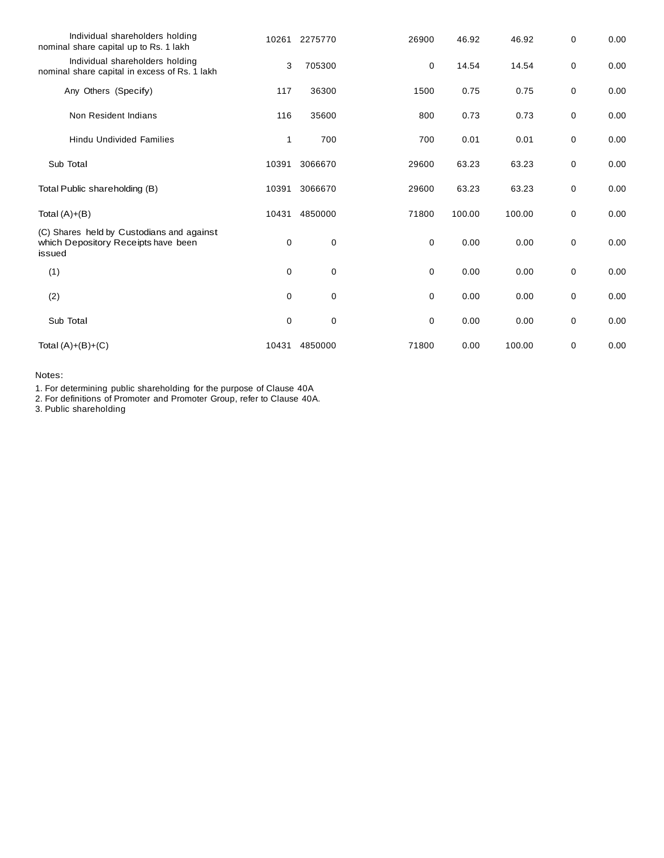| Individual shareholders holding<br>nominal share capital up to Rs. 1 lakh                  | 10261       | 2275770     | 26900       | 46.92  | 46.92  | 0 | 0.00 |
|--------------------------------------------------------------------------------------------|-------------|-------------|-------------|--------|--------|---|------|
| Individual shareholders holding<br>nominal share capital in excess of Rs. 1 lakh           | 3           | 705300      | 0           | 14.54  | 14.54  | 0 | 0.00 |
| Any Others (Specify)                                                                       | 117         | 36300       | 1500        | 0.75   | 0.75   | 0 | 0.00 |
| Non Resident Indians                                                                       | 116         | 35600       | 800         | 0.73   | 0.73   | 0 | 0.00 |
| <b>Hindu Undivided Families</b>                                                            | 1           | 700         | 700         | 0.01   | 0.01   | 0 | 0.00 |
| Sub Total                                                                                  | 10391       | 3066670     | 29600       | 63.23  | 63.23  | 0 | 0.00 |
| Total Public shareholding (B)                                                              | 10391       | 3066670     | 29600       | 63.23  | 63.23  | 0 | 0.00 |
| Total $(A)+(B)$                                                                            | 10431       | 4850000     | 71800       | 100.00 | 100.00 | 0 | 0.00 |
| (C) Shares held by Custodians and against<br>which Depository Receipts have been<br>issued | 0           | 0           | 0           | 0.00   | 0.00   | 0 | 0.00 |
| (1)                                                                                        | $\mathbf 0$ | $\mathbf 0$ | $\mathbf 0$ | 0.00   | 0.00   | 0 | 0.00 |
| (2)                                                                                        | $\mathbf 0$ | 0           | $\mathbf 0$ | 0.00   | 0.00   | 0 | 0.00 |
| Sub Total                                                                                  | 0           | $\mathbf 0$ | 0           | 0.00   | 0.00   | 0 | 0.00 |
| Total $(A)+(B)+(C)$                                                                        | 10431       | 4850000     | 71800       | 0.00   | 100.00 | 0 | 0.00 |

Notes:

1. For determining public shareholding for the purpose of Clause 40A

2. For definitions of Promoter and Promoter Group, refer to Clause 40A.

3. Public shareholding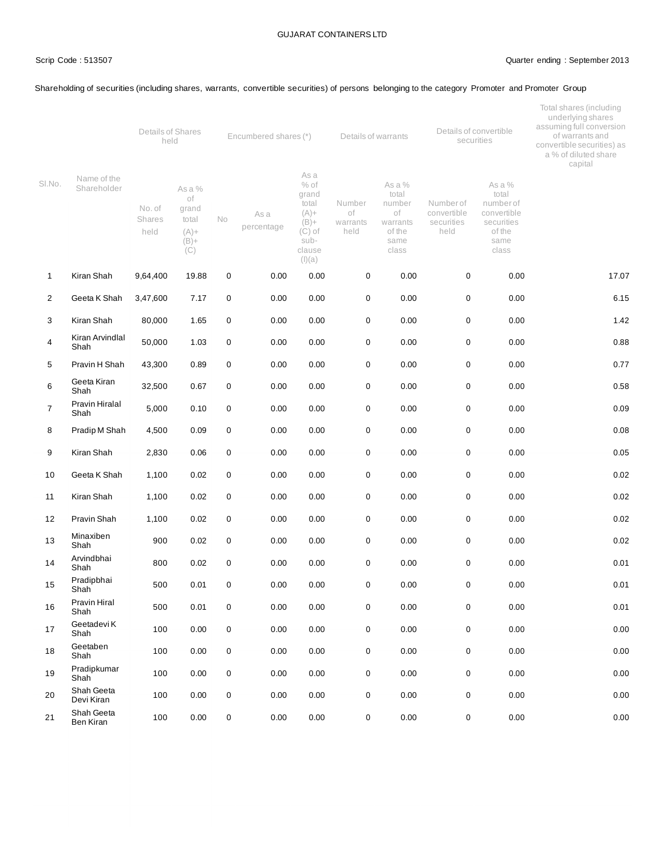#### Scrip Code : 513507 Quarter ending : September 2013

#### Shareholding of securities (including shares, warrants, convertible securities) of persons belonging to the category Promoter and Promoter Group

|                |                            | Details of Shares<br>held |                                                             | Encumbered shares (*) |                    |                                                                                                | Details of warrants              |                                                                        |                                               | Details of convertible<br>securities                                                 | Total shares (including<br>underlying shares<br>assuming full conversion<br>of warrants and<br>convertible securities) as<br>a % of diluted share<br>capital |  |
|----------------|----------------------------|---------------------------|-------------------------------------------------------------|-----------------------|--------------------|------------------------------------------------------------------------------------------------|----------------------------------|------------------------------------------------------------------------|-----------------------------------------------|--------------------------------------------------------------------------------------|--------------------------------------------------------------------------------------------------------------------------------------------------------------|--|
| SI.No.         | Name of the<br>Shareholder | No. of<br>Shares<br>held  | As a %<br>of<br>grand<br>total<br>$(A) +$<br>$(B) +$<br>(C) | <b>No</b>             | As a<br>percentage | As a<br>$%$ of<br>grand<br>total<br>$(A) +$<br>$(B) +$<br>$(C)$ of<br>sub-<br>clause<br>(I)(a) | Number<br>οf<br>warrants<br>held | As a %<br>total<br>number<br>of<br>warrants<br>of the<br>same<br>class | Numberof<br>convertible<br>securities<br>held | As a %<br>total<br>number of<br>convertible<br>securities<br>of the<br>same<br>class |                                                                                                                                                              |  |
| $\mathbf{1}$   | Kiran Shah                 | 9,64,400                  | 19.88                                                       | 0                     | 0.00               | 0.00                                                                                           | $\mathbf 0$                      | 0.00                                                                   | 0                                             | 0.00                                                                                 | 17.07                                                                                                                                                        |  |
| $\overline{2}$ | Geeta K Shah               | 3,47,600                  | 7.17                                                        | 0                     | 0.00               | 0.00                                                                                           | $\pmb{0}$                        | 0.00                                                                   | 0                                             | 0.00                                                                                 | 6.15                                                                                                                                                         |  |
| 3              | Kiran Shah                 | 80,000                    | 1.65                                                        | 0                     | 0.00               | 0.00                                                                                           | $\mathbf 0$                      | 0.00                                                                   | $\mathbf 0$                                   | 0.00                                                                                 | 1.42                                                                                                                                                         |  |
| 4              | Kiran Arvindlal<br>Shah    | 50,000                    | 1.03                                                        | 0                     | 0.00               | 0.00                                                                                           | $\pmb{0}$                        | 0.00                                                                   | 0                                             | 0.00                                                                                 | 0.88                                                                                                                                                         |  |
| 5              | Pravin H Shah              | 43,300                    | 0.89                                                        | 0                     | 0.00               | 0.00                                                                                           | $\pmb{0}$                        | 0.00                                                                   | 0                                             | 0.00                                                                                 | 0.77                                                                                                                                                         |  |
| 6              | Geeta Kiran<br>Shah        | 32,500                    | 0.67                                                        | $\mathbf 0$           | 0.00               | 0.00                                                                                           | $\pmb{0}$                        | 0.00                                                                   | 0                                             | 0.00                                                                                 | 0.58                                                                                                                                                         |  |
| $\overline{7}$ | Pravin Hiralal<br>Shah     | 5,000                     | 0.10                                                        | 0                     | 0.00               | 0.00                                                                                           | $\pmb{0}$                        | 0.00                                                                   | 0                                             | 0.00                                                                                 | 0.09                                                                                                                                                         |  |
| 8              | Pradip M Shah              | 4,500                     | 0.09                                                        | 0                     | 0.00               | 0.00                                                                                           | $\pmb{0}$                        | 0.00                                                                   | 0                                             | 0.00                                                                                 | 0.08                                                                                                                                                         |  |
| 9              | Kiran Shah                 | 2,830                     | 0.06                                                        | 0                     | 0.00               | 0.00                                                                                           | $\pmb{0}$                        | 0.00                                                                   | $\pmb{0}$                                     | 0.00                                                                                 | 0.05                                                                                                                                                         |  |
| 10             | Geeta K Shah               | 1,100                     | 0.02                                                        | 0                     | 0.00               | 0.00                                                                                           | $\mathbf 0$                      | 0.00                                                                   | 0                                             | 0.00                                                                                 | 0.02                                                                                                                                                         |  |
| 11             | Kiran Shah                 | 1,100                     | 0.02                                                        | $\mathbf 0$           | 0.00               | 0.00                                                                                           | $\mathbf 0$                      | 0.00                                                                   | 0                                             | 0.00                                                                                 | 0.02                                                                                                                                                         |  |
| 12             | Pravin Shah                | 1,100                     | 0.02                                                        | 0                     | 0.00               | 0.00                                                                                           | $\pmb{0}$                        | 0.00                                                                   | 0                                             | 0.00                                                                                 | 0.02                                                                                                                                                         |  |
| 13             | Minaxiben<br>Shah          | 900                       | 0.02                                                        | 0                     | 0.00               | 0.00                                                                                           | $\mathbf 0$                      | 0.00                                                                   | 0                                             | 0.00                                                                                 | 0.02                                                                                                                                                         |  |
| 14             | Arvindbhai<br>Shah         | 800                       | 0.02                                                        | 0                     | 0.00               | 0.00                                                                                           | $\pmb{0}$                        | 0.00                                                                   | 0                                             | 0.00                                                                                 | 0.01                                                                                                                                                         |  |
| 15             | Pradipbhai<br>Shah         | 500                       | 0.01                                                        | 0                     | 0.00               | 0.00                                                                                           | $\mathbf 0$                      | 0.00                                                                   | 0                                             | 0.00                                                                                 | 0.01                                                                                                                                                         |  |
| 16             | Pravin Hiral<br>Shah       | 500                       | 0.01                                                        | 0                     | 0.00               | 0.00                                                                                           | $\pmb{0}$                        | 0.00                                                                   | 0                                             | 0.00                                                                                 | 0.01                                                                                                                                                         |  |
| 17             | Geetadevi K<br>Shah        | 100                       | 0.00                                                        | $\mathsf{O}\xspace$   | 0.00               | 0.00                                                                                           | $\pmb{0}$                        | 0.00                                                                   | $\mathbf 0$                                   | 0.00                                                                                 | 0.00                                                                                                                                                         |  |
| 18             | Geetaben<br>Shah           | 100                       | 0.00                                                        | $\mathbf 0$           | 0.00               | 0.00                                                                                           | $\pmb{0}$                        | 0.00                                                                   | $\pmb{0}$                                     | 0.00                                                                                 | 0.00                                                                                                                                                         |  |
| 19             | Pradipkumar<br>Shah        | 100                       | 0.00                                                        | $\mathbf 0$           | 0.00               | 0.00                                                                                           | $\pmb{0}$                        | 0.00                                                                   | 0                                             | 0.00                                                                                 | 0.00                                                                                                                                                         |  |
| 20             | Shah Geeta<br>Devi Kiran   | 100                       | 0.00                                                        | 0                     | 0.00               | 0.00                                                                                           | $\pmb{0}$                        | 0.00                                                                   | 0                                             | 0.00                                                                                 | 0.00                                                                                                                                                         |  |
| 21             | Shah Geeta<br>Ben Kiran    | 100                       | 0.00                                                        | $\mathbf 0$           | 0.00               | $0.00\,$                                                                                       | $\pmb{0}$                        | 0.00                                                                   | 0                                             | 0.00                                                                                 | 0.00                                                                                                                                                         |  |
|                |                            |                           |                                                             |                       |                    |                                                                                                |                                  |                                                                        |                                               |                                                                                      |                                                                                                                                                              |  |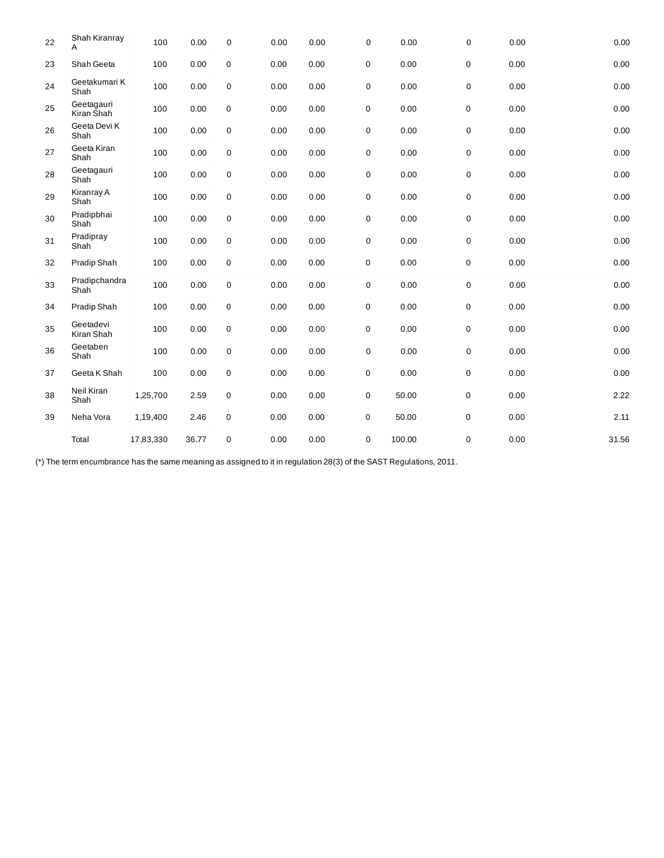| 22 | Shah Kiranray<br>A       | 100       | 0.00  | $\pmb{0}$        | 0.00 | 0.00 | 0           | 0.00   | 0                   | 0.00 | 0.00  |
|----|--------------------------|-----------|-------|------------------|------|------|-------------|--------|---------------------|------|-------|
| 23 | Shah Geeta               | 100       | 0.00  | $\pmb{0}$        | 0.00 | 0.00 | 0           | 0.00   | $\mathbf 0$         | 0.00 | 0.00  |
| 24 | Geetakumari K<br>Shah    | 100       | 0.00  | $\pmb{0}$        | 0.00 | 0.00 | 0           | 0.00   | $\mathbf 0$         | 0.00 | 0.00  |
| 25 | Geetagauri<br>Kiran Shah | 100       | 0.00  | $\boldsymbol{0}$ | 0.00 | 0.00 | 0           | 0.00   | 0                   | 0.00 | 0.00  |
| 26 | Geeta Devi K<br>Shah     | 100       | 0.00  | $\pmb{0}$        | 0.00 | 0.00 | 0           | 0.00   | $\mathbf 0$         | 0.00 | 0.00  |
| 27 | Geeta Kiran<br>Shah      | 100       | 0.00  | $\pmb{0}$        | 0.00 | 0.00 | 0           | 0.00   | 0                   | 0.00 | 0.00  |
| 28 | Geetagauri<br>Shah       | 100       | 0.00  | $\pmb{0}$        | 0.00 | 0.00 | 0           | 0.00   | $\pmb{0}$           | 0.00 | 0.00  |
| 29 | Kiranray A<br>Shah       | 100       | 0.00  | $\pmb{0}$        | 0.00 | 0.00 | 0           | 0.00   | $\mathbf 0$         | 0.00 | 0.00  |
| 30 | Pradipbhai<br>Shah       | 100       | 0.00  | $\pmb{0}$        | 0.00 | 0.00 | 0           | 0.00   | $\mathbf 0$         | 0.00 | 0.00  |
| 31 | Pradipray<br>Shah        | 100       | 0.00  | $\pmb{0}$        | 0.00 | 0.00 | 0           | 0.00   | 0                   | 0.00 | 0.00  |
| 32 | Pradip Shah              | 100       | 0.00  | $\pmb{0}$        | 0.00 | 0.00 | $\mathbf 0$ | 0.00   | $\mathbf 0$         | 0.00 | 0.00  |
| 33 | Pradipchandra<br>Shah    | 100       | 0.00  | $\pmb{0}$        | 0.00 | 0.00 | 0           | 0.00   | $\mathbf 0$         | 0.00 | 0.00  |
| 34 | Pradip Shah              | 100       | 0.00  | $\pmb{0}$        | 0.00 | 0.00 | 0           | 0.00   | $\mathsf{O}\xspace$ | 0.00 | 0.00  |
| 35 | Geetadevi<br>Kiran Shah  | 100       | 0.00  | $\pmb{0}$        | 0.00 | 0.00 | 0           | 0.00   | 0                   | 0.00 | 0.00  |
| 36 | Geetaben<br>Shah         | 100       | 0.00  | $\pmb{0}$        | 0.00 | 0.00 | 0           | 0.00   | $\mathbf 0$         | 0.00 | 0.00  |
| 37 | Geeta K Shah             | 100       | 0.00  | $\pmb{0}$        | 0.00 | 0.00 | 0           | 0.00   | 0                   | 0.00 | 0.00  |
| 38 | Neil Kiran<br>Shah       | 1,25,700  | 2.59  | 0                | 0.00 | 0.00 | 0           | 50.00  | 0                   | 0.00 | 2.22  |
| 39 | Neha Vora                | 1,19,400  | 2.46  | $\mathbf 0$      | 0.00 | 0.00 | 0           | 50.00  | $\mathsf 0$         | 0.00 | 2.11  |
|    | Total                    | 17,83,330 | 36.77 | 0                | 0.00 | 0.00 | 0           | 100.00 | 0                   | 0.00 | 31.56 |

(\*) The term encumbrance has the same meaning as assigned to it in regulation 28(3) of the SAST Regulations, 2011.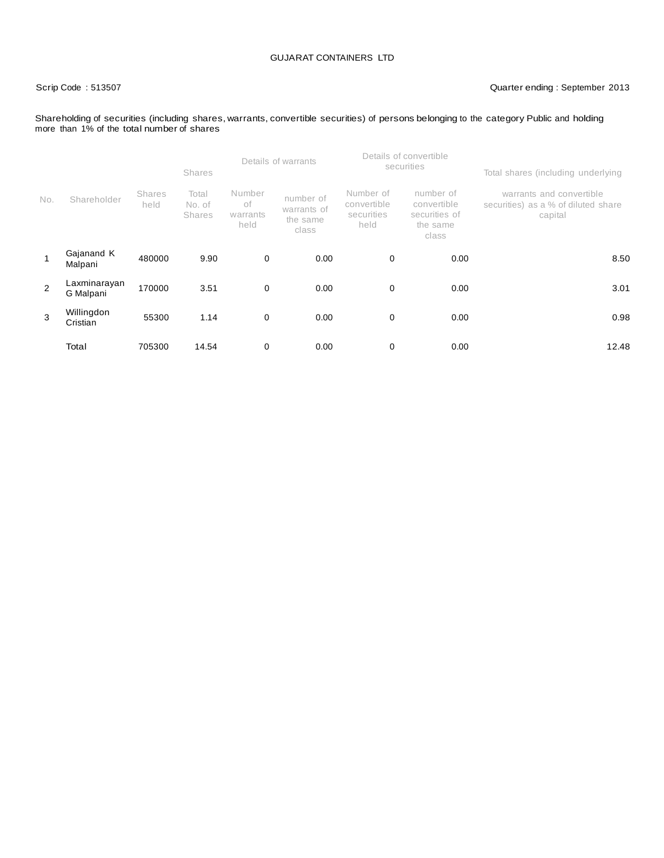#### Scrip Code : 513507 Quarter ending : September 2013

#### Shareholding of securities (including shares, warrants, convertible securities) of persons belonging to the category Public and holding more than 1% of the total number of shares

|                |                           |                       | <b>Shares</b>                    |                                                                                                                                                                                                                  | Details of warrants |   | Details of convertible<br>securities | Total shares (including underlying                              |  |  |
|----------------|---------------------------|-----------------------|----------------------------------|------------------------------------------------------------------------------------------------------------------------------------------------------------------------------------------------------------------|---------------------|---|--------------------------------------|-----------------------------------------------------------------|--|--|
| No.            | Shareholder               | <b>Shares</b><br>held | Total<br>No. of<br><b>Shares</b> | Number<br>Number of<br>number of<br>number of<br>оf<br>convertible<br>convertible<br>warrants of<br>securities<br>securities of<br>warrants<br>capital<br>the same<br>held<br>held<br>the same<br>class<br>class |                     |   |                                      | warrants and convertible<br>securities) as a % of diluted share |  |  |
| 1              | Gajanand K<br>Malpani     | 480000                | 9.90                             | $\mathbf 0$                                                                                                                                                                                                      | 0.00                | 0 | 0.00                                 | 8.50                                                            |  |  |
| $\overline{2}$ | Laxminarayan<br>G Malpani | 170000                | 3.51                             | $\mathbf 0$                                                                                                                                                                                                      | 0.00                | 0 | 0.00                                 | 3.01                                                            |  |  |
| 3              | Willingdon<br>Cristian    | 55300                 | 1.14                             | 0                                                                                                                                                                                                                | 0.00                | 0 | 0.00                                 | 0.98                                                            |  |  |
|                | Total                     | 705300                | 14.54                            | 0                                                                                                                                                                                                                | 0.00                | 0 | 0.00                                 | 12.48                                                           |  |  |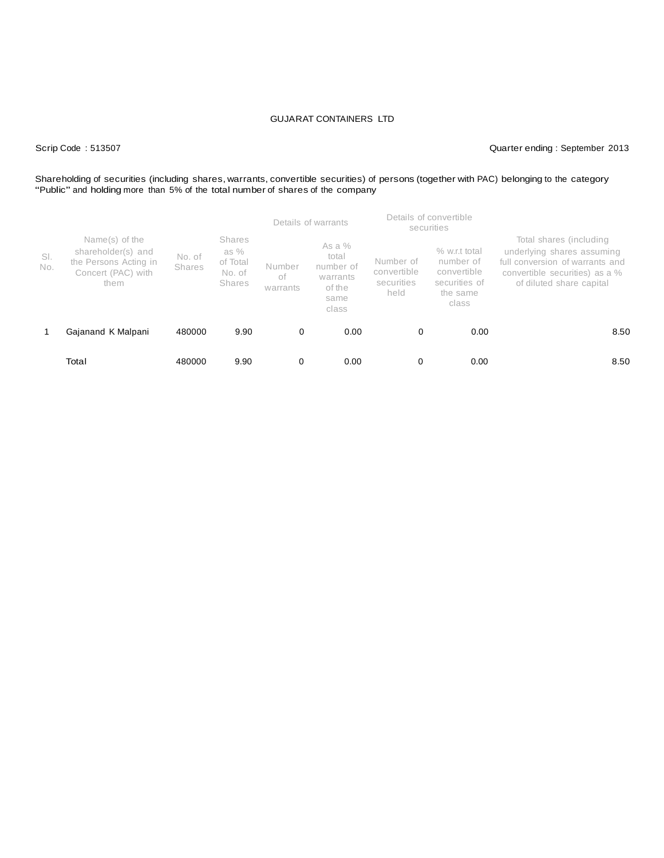Scrip Code : 513507 Quarter ending : September 2013

# Shareholding of securities (including shares, warrants, convertible securities) of persons (together with PAC) belonging to the category<br>"Public" and holding more than 5% of the total number of shares of the company

|            |                                                                                             |                         |                                                       |                          | Details of warrants                                                   |                                                | Details of convertible<br>securities                                            |                                                                                                                                                        |  |  |
|------------|---------------------------------------------------------------------------------------------|-------------------------|-------------------------------------------------------|--------------------------|-----------------------------------------------------------------------|------------------------------------------------|---------------------------------------------------------------------------------|--------------------------------------------------------------------------------------------------------------------------------------------------------|--|--|
| SI.<br>No. | Name(s) of the<br>shareholder(s) and<br>the Persons Acting in<br>Concert (PAC) with<br>them | No. of<br><b>Shares</b> | <b>Shares</b><br>as %<br>of Total<br>No. of<br>Shares | Number<br>оf<br>warrants | As a $%$<br>total<br>number of<br>warrants<br>of the<br>same<br>class | Number of<br>convertible<br>securities<br>held | % w.r.t total<br>number of<br>convertible<br>securities of<br>the same<br>class | Total shares (including<br>underlying shares assuming<br>full conversion of warrants and<br>convertible securities) as a %<br>of diluted share capital |  |  |
|            | Gajanand K Malpani                                                                          | 480000                  | 9.90                                                  | 0                        | 0.00                                                                  | 0                                              | 0.00                                                                            | 8.50                                                                                                                                                   |  |  |
|            | Total                                                                                       | 480000                  | 9.90                                                  | 0                        | 0.00                                                                  | 0                                              | 0.00                                                                            | 8.50                                                                                                                                                   |  |  |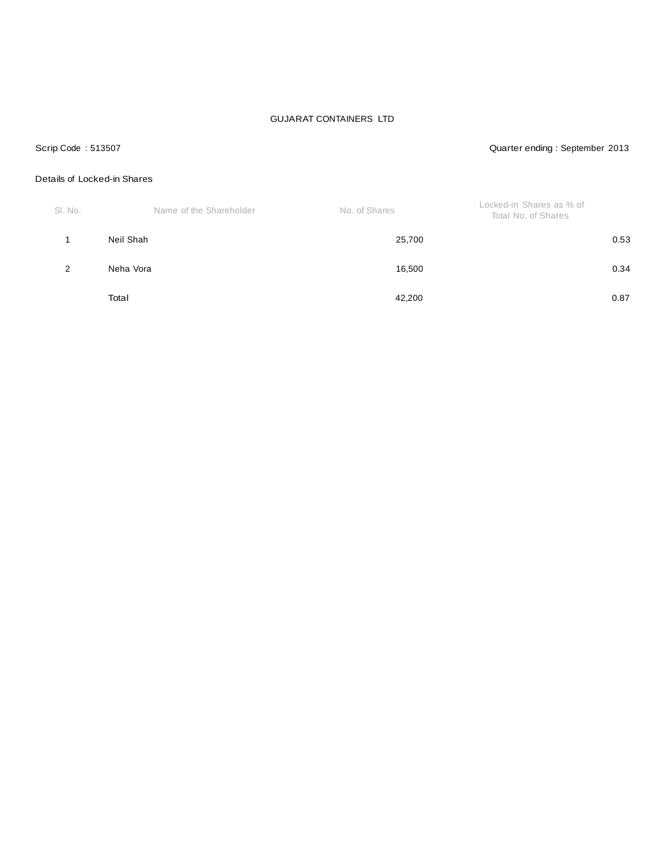#### Scrip Code : 513507 Quarter ending : September 2013

### Details of Locked-in Shares

| SI. No. | Name of the Shareholder | No. of Shares | Locked-in Shares as % of<br>Total No. of Shares |
|---------|-------------------------|---------------|-------------------------------------------------|
|         | Neil Shah               | 25,700        | 0.53                                            |
| 2       | Neha Vora               | 16,500        | 0.34                                            |
|         | Total                   | 42,200        | 0.87                                            |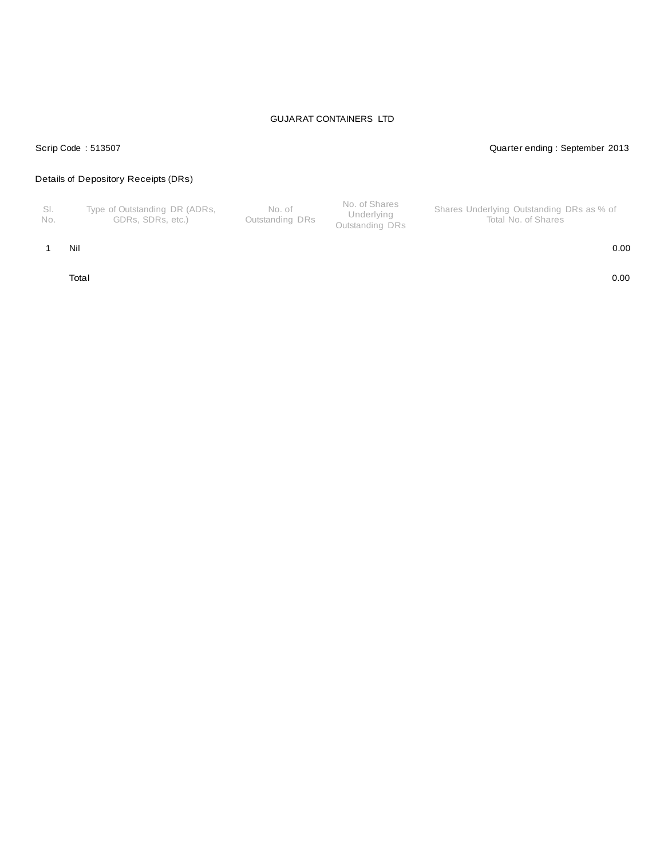#### Scrip Code : 513507 Quarter ending : September 2013

### Details of Depository Receipts (DRs)

| - SI.<br>Type of Outstanding DR (ADRs,<br>No. of<br>Outstanding DRs<br>GDRs. SDRs. etc.)<br>No. | No. of Shares<br>Shares Underlying Outstanding DRs as % of<br>Underlying<br>Total No. of Shares<br>Outstanding DRs |
|-------------------------------------------------------------------------------------------------|--------------------------------------------------------------------------------------------------------------------|
|-------------------------------------------------------------------------------------------------|--------------------------------------------------------------------------------------------------------------------|

#### 1 Nil 0.00

Total 0.00